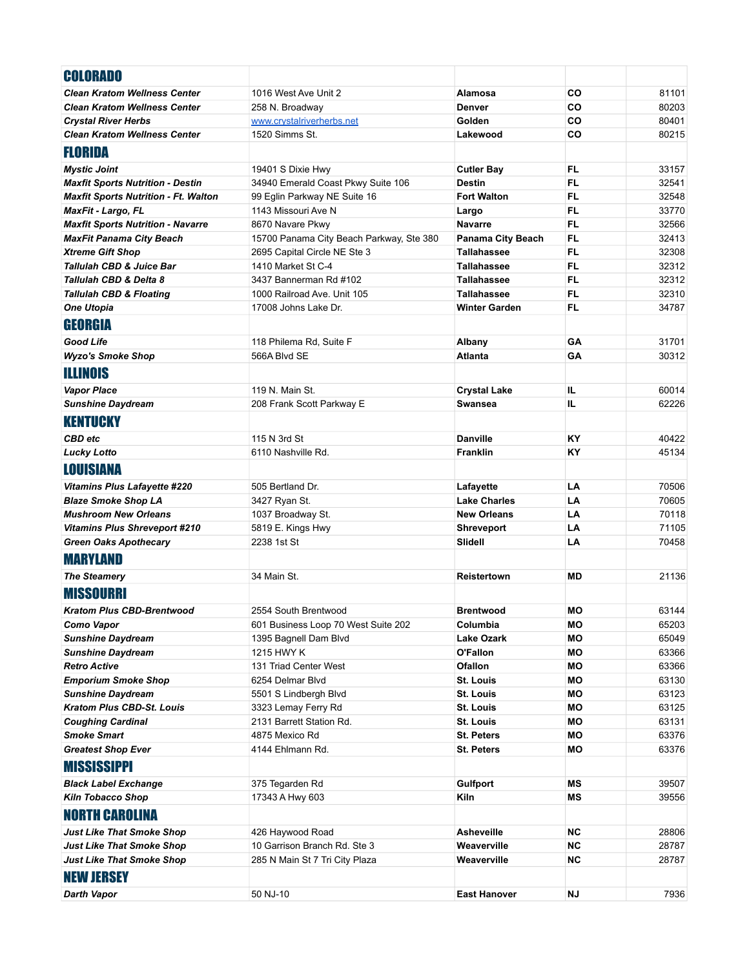| <b>COLORADO</b>                             |                                          |                          |           |       |
|---------------------------------------------|------------------------------------------|--------------------------|-----------|-------|
| <b>Clean Kratom Wellness Center</b>         | 1016 West Ave Unit 2                     | Alamosa                  | CO        | 81101 |
| <b>Clean Kratom Wellness Center</b>         | 258 N. Broadway                          | <b>Denver</b>            | CO        | 80203 |
| <b>Crystal River Herbs</b>                  | www.crystalriverherbs.net                | Golden                   | CO        | 80401 |
| <b>Clean Kratom Wellness Center</b>         | 1520 Simms St.                           | Lakewood                 | CO        | 80215 |
| <b>FLORIDA</b>                              |                                          |                          |           |       |
| <b>Mystic Joint</b>                         | 19401 S Dixie Hwy                        | <b>Cutler Bay</b>        | FL        | 33157 |
| <b>Maxfit Sports Nutrition - Destin</b>     | 34940 Emerald Coast Pkwy Suite 106       | <b>Destin</b>            | FL.       | 32541 |
| <b>Maxfit Sports Nutrition - Ft. Walton</b> | 99 Eglin Parkway NE Suite 16             | <b>Fort Walton</b>       | FL.       | 32548 |
| MaxFit - Largo, FL                          | 1143 Missouri Ave N                      | Largo                    | FL.       | 33770 |
| <b>Maxfit Sports Nutrition - Navarre</b>    | 8670 Navare Pkwy                         | <b>Navarre</b>           | <b>FL</b> | 32566 |
| <b>MaxFit Panama City Beach</b>             | 15700 Panama City Beach Parkway, Ste 380 | <b>Panama City Beach</b> | FL.       | 32413 |
| <b>Xtreme Gift Shop</b>                     | 2695 Capital Circle NE Ste 3             | <b>Tallahassee</b>       | FL.       | 32308 |
| <b>Tallulah CBD &amp; Juice Bar</b>         | 1410 Market St C-4                       | <b>Tallahassee</b>       | FL.       | 32312 |
| <b>Tallulah CBD &amp; Delta 8</b>           | 3437 Bannerman Rd #102                   | <b>Tallahassee</b>       | FL        | 32312 |
| <b>Tallulah CBD &amp; Floating</b>          | 1000 Railroad Ave. Unit 105              | <b>Tallahassee</b>       | FL.       | 32310 |
| <b>One Utopia</b>                           | 17008 Johns Lake Dr.                     | <b>Winter Garden</b>     | FL.       | 34787 |
| GEORGIA                                     |                                          |                          |           |       |
| Good Life                                   | 118 Philema Rd, Suite F                  | Albany                   | GA        | 31701 |
| <b>Wyzo's Smoke Shop</b>                    | 566A Blvd SE                             | <b>Atlanta</b>           | GA        | 30312 |
| <b>ILLINOIS</b>                             |                                          |                          |           |       |
| <b>Vapor Place</b>                          | 119 N. Main St.                          | <b>Crystal Lake</b>      | IL        | 60014 |
| <b>Sunshine Daydream</b>                    | 208 Frank Scott Parkway E                | <b>Swansea</b>           | IL        | 62226 |
| <b>KENTUCKY</b>                             |                                          |                          |           |       |
| <b>CBD</b> etc                              | 115 N 3rd St                             | <b>Danville</b>          | KY        | 40422 |
| <b>Lucky Lotto</b>                          | 6110 Nashville Rd.                       | <b>Franklin</b>          | KY        | 45134 |
|                                             |                                          |                          |           |       |
| <b>LOUISIANA</b>                            |                                          |                          |           |       |
| <b>Vitamins Plus Lafayette #220</b>         | 505 Bertland Dr.                         | Lafayette                | LA        | 70506 |
| <b>Blaze Smoke Shop LA</b>                  | 3427 Ryan St.                            | <b>Lake Charles</b>      | LA        | 70605 |
| <b>Mushroom New Orleans</b>                 | 1037 Broadway St.                        | <b>New Orleans</b>       | LA        | 70118 |
| <b>Vitamins Plus Shreveport #210</b>        | 5819 E. Kings Hwy                        | <b>Shreveport</b>        | LA        | 71105 |
| <b>Green Oaks Apothecary</b>                | 2238 1st St                              | <b>Slidell</b>           | LA        | 70458 |
| <b>MARYLAND</b>                             |                                          |                          |           |       |
| <b>The Steamery</b>                         | 34 Main St.                              | <b>Reistertown</b>       | <b>MD</b> | 21136 |
| <b>MISSOURRI</b>                            |                                          |                          |           |       |
| Kratom Plus CBD-Brentwood                   | 2554 South Brentwood                     | <b>Brentwood</b>         | MО        | 63144 |
| Como Vapor                                  | 601 Business Loop 70 West Suite 202      | Columbia                 | МO        | 65203 |
| <b>Sunshine Daydream</b>                    | 1395 Bagnell Dam Blvd                    | <b>Lake Ozark</b>        | МO        | 65049 |
| <b>Sunshine Daydream</b>                    | 1215 HWY K                               | O'Fallon                 | МO        | 63366 |
| <b>Retro Active</b>                         | 131 Triad Center West                    | <b>Ofallon</b>           | МO        | 63366 |
| <b>Emporium Smoke Shop</b>                  | 6254 Delmar Blvd                         | <b>St. Louis</b>         | MО        | 63130 |
| <b>Sunshine Daydream</b>                    | 5501 S Lindbergh Blvd                    | <b>St. Louis</b>         | МO        | 63123 |
| <b>Kratom Plus CBD-St. Louis</b>            | 3323 Lemay Ferry Rd                      | St. Louis                | МO        | 63125 |
| <b>Coughing Cardinal</b>                    | 2131 Barrett Station Rd.                 | St. Louis                | MO        | 63131 |
| <b>Smoke Smart</b>                          | 4875 Mexico Rd                           | <b>St. Peters</b>        | МO        | 63376 |
| <b>Greatest Shop Ever</b>                   | 4144 Ehlmann Rd.                         | <b>St. Peters</b>        | МO        | 63376 |
| <b>MISSISSIPPI</b>                          |                                          |                          |           |       |
| <b>Black Label Exchange</b>                 | 375 Tegarden Rd                          | <b>Gulfport</b>          | ΜS        | 39507 |
| <b>Kiln Tobacco Shop</b>                    | 17343 A Hwy 603                          | Kiln                     | ΜS        | 39556 |
| <b>NORTH CAROLINA</b>                       |                                          |                          |           |       |
| <b>Just Like That Smoke Shop</b>            | 426 Haywood Road                         | <b>Asheveille</b>        | ΝC        | 28806 |
| <b>Just Like That Smoke Shop</b>            | 10 Garrison Branch Rd. Ste 3             | Weaverville              | ΝC        | 28787 |
| <b>Just Like That Smoke Shop</b>            | 285 N Main St 7 Tri City Plaza           | Weaverville              | ΝC        | 28787 |
| <b>NEW JERSEY</b>                           |                                          |                          |           |       |
| Darth Vapor                                 | 50 NJ-10                                 | <b>East Hanover</b>      | ΝJ        | 7936  |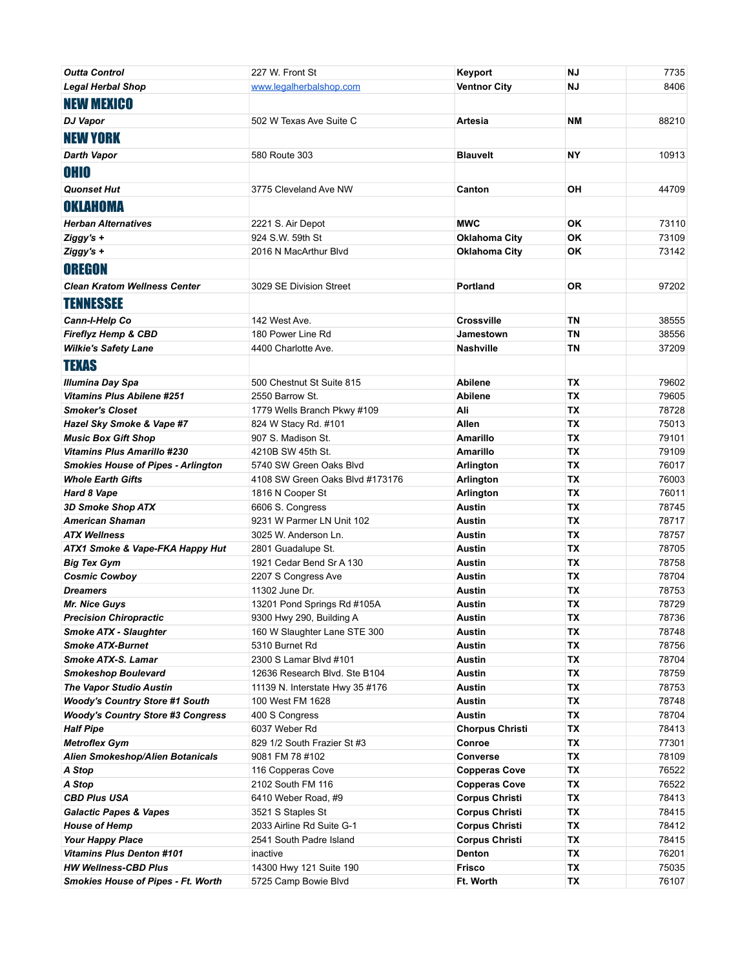| <b>Outta Control</b>                      | 227 W. Front St                          | Keyport                                       | ΝJ        | 7735           |
|-------------------------------------------|------------------------------------------|-----------------------------------------------|-----------|----------------|
| Legal Herbal Shop                         | www.legalherbalshop.com                  | <b>Ventnor City</b>                           | ΝJ        | 8406           |
| <b>NEW MEXICO</b>                         |                                          |                                               |           |                |
|                                           |                                          |                                               |           |                |
| <b>DJ Vapor</b>                           | 502 W Texas Ave Suite C                  | <b>Artesia</b>                                | NΜ        | 88210          |
| <b>NEW YORK</b>                           |                                          |                                               |           |                |
| <b>Darth Vapor</b>                        | 580 Route 303                            | <b>Blauvelt</b>                               | NΥ        | 10913          |
| <b>OHIO</b>                               |                                          |                                               |           |                |
| <b>Quonset Hut</b>                        | 3775 Cleveland Ave NW                    | Canton                                        | ΟH        | 44709          |
|                                           |                                          |                                               |           |                |
| OKLAHOMA                                  |                                          |                                               |           |                |
| <b>Herban Alternatives</b>                | 2221 S. Air Depot                        | <b>MWC</b>                                    | OK        | 73110          |
| Ziggy's +                                 | 924 S.W. 59th St                         | <b>Oklahoma City</b>                          | <b>OK</b> | 73109          |
| Ziggy's +                                 | 2016 N MacArthur Blvd                    | <b>Oklahoma City</b>                          | <b>OK</b> | 73142          |
| <b>OREGON</b>                             |                                          |                                               |           |                |
| <b>Clean Kratom Wellness Center</b>       | 3029 SE Division Street                  | <b>Portland</b>                               | <b>OR</b> | 97202          |
| <b>TENNESSEE</b>                          |                                          |                                               |           |                |
|                                           |                                          |                                               |           |                |
| Cann-I-Help Co                            | 142 West Ave.                            | <b>Crossville</b>                             | <b>TN</b> | 38555          |
| <b>Fireflyz Hemp &amp; CBD</b>            | 180 Power Line Rd                        | <b>Jamestown</b>                              | <b>TN</b> | 38556          |
| <b>Wilkie's Safety Lane</b>               | 4400 Charlotte Ave.                      | <b>Nashville</b>                              | ΤN        | 37209          |
| <b>TEXAS</b>                              |                                          |                                               |           |                |
| <b>Illumina Day Spa</b>                   | 500 Chestnut St Suite 815                | <b>Abilene</b>                                | TX        | 79602          |
| <b>Vitamins Plus Abilene #251</b>         | 2550 Barrow St.                          | <b>Abilene</b>                                | <b>TX</b> | 79605          |
| <b>Smoker's Closet</b>                    | 1779 Wells Branch Pkwy #109              | Ali                                           | <b>TX</b> | 78728          |
| Hazel Sky Smoke & Vape #7                 | 824 W Stacy Rd. #101                     | Allen                                         | <b>TX</b> | 75013          |
| <b>Music Box Gift Shop</b>                | 907 S. Madison St.                       | <b>Amarillo</b>                               | <b>TX</b> | 79101          |
| <b>Vitamins Plus Amarillo #230</b>        | 4210B SW 45th St.                        | <b>Amarillo</b>                               | <b>TX</b> | 79109          |
| <b>Smokies House of Pipes - Arlington</b> | 5740 SW Green Oaks Blvd                  | Arlington                                     | ТX        | 76017          |
| <b>Whole Earth Gifts</b>                  | 4108 SW Green Oaks Blvd #173176          | Arlington                                     | TX        | 76003          |
| Hard 8 Vape                               | 1816 N Cooper St                         | Arlington                                     | TX        | 76011          |
| 3D Smoke Shop ATX                         | 6606 S. Congress                         | <b>Austin</b>                                 | TX        | 78745          |
| <b>American Shaman</b>                    | 9231 W Parmer LN Unit 102                | <b>Austin</b>                                 | <b>TX</b> | 78717          |
| <b>ATX Wellness</b>                       | 3025 W. Anderson Ln.                     | <b>Austin</b>                                 | <b>TX</b> | 78757          |
| ATX1 Smoke & Vape-FKA Happy Hut           | 2801 Guadalupe St.                       | <b>Austin</b>                                 | <b>TX</b> | 78705          |
| <b>Big Tex Gym</b>                        | 1921 Cedar Bend Sr A 130                 | Austin                                        | <b>TX</b> | 78758          |
| <b>Cosmic Cowboy</b>                      | 2207 S Congress Ave                      | <b>Austin</b>                                 | TX        | 78704          |
| <b>Dreamers</b>                           | 11302 June Dr.                           | <b>Austin</b>                                 | TX        | 78753          |
| Mr. Nice Guys                             | 13201 Pond Springs Rd #105A              | <b>Austin</b>                                 | TX        | 78729          |
| <b>Precision Chiropractic</b>             | 9300 Hwy 290, Building A                 | Austin                                        | ΤХ        | 78736          |
| <b>Smoke ATX - Slaughter</b>              | 160 W Slaughter Lane STE 300             | <b>Austin</b>                                 | TX        | 78748          |
| <b>Smoke ATX-Burnet</b>                   | 5310 Burnet Rd                           | <b>Austin</b>                                 | TX        | 78756          |
| Smoke ATX-S. Lamar                        | 2300 S Lamar Blvd #101                   | Austin                                        | TX        | 78704          |
| <b>Smokeshop Boulevard</b>                | 12636 Research Blvd. Ste B104            | Austin                                        | <b>TX</b> | 78759          |
| <b>The Vapor Studio Austin</b>            | 11139 N. Interstate Hwy 35 #176          | <b>Austin</b>                                 | ТX        | 78753          |
| <b>Woody's Country Store #1 South</b>     | 100 West FM 1628                         | <b>Austin</b>                                 | ТX        | 78748          |
| <b>Woody's Country Store #3 Congress</b>  | 400 S Congress                           | <b>Austin</b>                                 | TX        | 78704          |
| <b>Half Pipe</b>                          | 6037 Weber Rd                            | <b>Chorpus Christi</b>                        | TX        | 78413          |
| <b>Metroflex Gym</b>                      | 829 1/2 South Frazier St #3              | Conroe                                        | TX        | 77301          |
| <b>Alien Smokeshop/Alien Botanicals</b>   | 9081 FM 78 #102                          | Converse                                      | TX        | 78109          |
| A Stop                                    | 116 Copperas Cove                        | <b>Copperas Cove</b>                          | TX<br>TX  | 76522<br>76522 |
| A Stop<br><b>CBD Plus USA</b>             | 2102 South FM 116<br>6410 Weber Road, #9 | <b>Copperas Cove</b><br><b>Corpus Christi</b> | <b>TX</b> | 78413          |
| <b>Galactic Papes &amp; Vapes</b>         | 3521 S Staples St                        | <b>Corpus Christi</b>                         | TX        | 78415          |
| <b>House of Hemp</b>                      | 2033 Airline Rd Suite G-1                | <b>Corpus Christi</b>                         | ТX        | 78412          |
| <b>Your Happy Place</b>                   | 2541 South Padre Island                  | <b>Corpus Christi</b>                         | TX        | 78415          |
| <b>Vitamins Plus Denton #101</b>          | inactive                                 | Denton                                        | TX        | 76201          |
| <b>HW Wellness-CBD Plus</b>               | 14300 Hwy 121 Suite 190                  | Frisco                                        | ТX        | 75035          |
| <b>Smokies House of Pipes - Ft. Worth</b> | 5725 Camp Bowie Blvd                     | Ft. Worth                                     | ТX        | 76107          |
|                                           |                                          |                                               |           |                |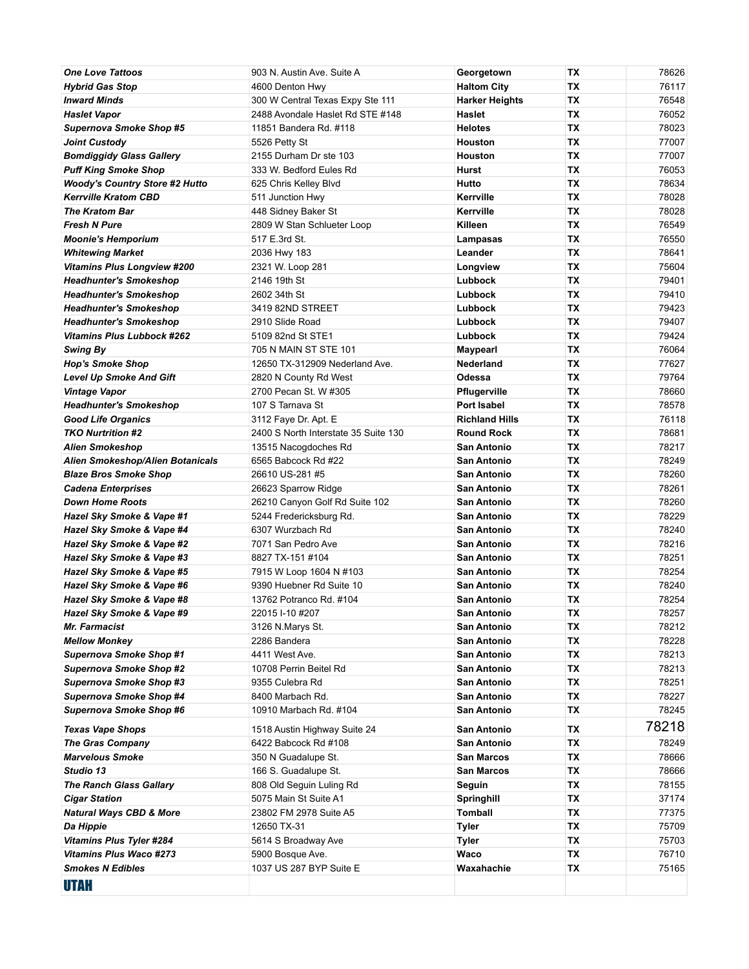| <b>One Love Tattoos</b>                                          | 903 N. Austin Ave. Suite A                       | Georgetown                             | ТX        | 78626          |
|------------------------------------------------------------------|--------------------------------------------------|----------------------------------------|-----------|----------------|
| <b>Hybrid Gas Stop</b>                                           | 4600 Denton Hwy                                  | <b>Haltom City</b>                     | ТX        | 76117          |
| <b>Inward Minds</b>                                              | 300 W Central Texas Expy Ste 111                 | <b>Harker Heights</b>                  | ТX        | 76548          |
| <b>Haslet Vapor</b>                                              | 2488 Avondale Haslet Rd STE #148                 | <b>Haslet</b>                          | TX        | 76052          |
| <b>Supernova Smoke Shop #5</b>                                   | 11851 Bandera Rd. #118                           | <b>Helotes</b>                         | ТX        | 78023          |
| <b>Joint Custody</b>                                             | 5526 Petty St                                    | <b>Houston</b>                         | TX        | 77007          |
| <b>Bomdiggidy Glass Gallery</b>                                  | 2155 Durham Dr ste 103                           | <b>Houston</b>                         | TX        | 77007          |
| <b>Puff King Smoke Shop</b>                                      | 333 W. Bedford Eules Rd                          | Hurst                                  | TX        | 76053          |
| <b>Woody's Country Store #2 Hutto</b>                            | 625 Chris Kelley Blvd                            | Hutto                                  | ТX        | 78634          |
| <b>Kerrville Kratom CBD</b>                                      | 511 Junction Hwy                                 | Kerrville                              | ТX        | 78028          |
| <b>The Kratom Bar</b>                                            | 448 Sidney Baker St                              | Kerrville                              | ТX        | 78028          |
| <b>Fresh N Pure</b>                                              | 2809 W Stan Schlueter Loop                       | Killeen                                | ТX        | 76549          |
| <b>Moonie's Hemporium</b>                                        | 517 E.3rd St.                                    | Lampasas                               | TX        | 76550          |
| <b>Whitewing Market</b>                                          | 2036 Hwy 183                                     | Leander                                | ТX        | 78641          |
| <b>Vitamins Plus Longview #200</b>                               | 2321 W. Loop 281                                 | Longview                               | TX        | 75604          |
| <b>Headhunter's Smokeshop</b>                                    | 2146 19th St                                     | Lubbock                                | TХ<br>TX  | 79401<br>79410 |
| <b>Headhunter's Smokeshop</b><br><b>Headhunter's Smokeshop</b>   | 2602 34th St<br>3419 82ND STREET                 | Lubbock<br>Lubbock                     | ТX        | 79423          |
| <b>Headhunter's Smokeshop</b>                                    | 2910 Slide Road                                  | Lubbock                                | ТX        | 79407          |
| <b>Vitamins Plus Lubbock #262</b>                                | 5109 82nd St STE1                                | Lubbock                                | ТX        | 79424          |
| Swing By                                                         | 705 N MAIN ST STE 101                            | Maypearl                               | ТX        | 76064          |
| <b>Hop's Smoke Shop</b>                                          | 12650 TX-312909 Nederland Ave.                   | <b>Nederland</b>                       | TX        | 77627          |
| <b>Level Up Smoke And Gift</b>                                   | 2820 N County Rd West                            | Odessa                                 | ТX        | 79764          |
| <b>Vintage Vapor</b>                                             | 2700 Pecan St. W #305                            | Pflugerville                           | TX        | 78660          |
| <b>Headhunter's Smokeshop</b>                                    | 107 S Tarnava St                                 | Port Isabel                            | TХ        | 78578          |
| <b>Good Life Organics</b>                                        | 3112 Faye Dr. Apt. E                             | <b>Richland Hills</b>                  | TX        | 76118          |
| <b>TKO Nurtrition #2</b>                                         | 2400 S North Interstate 35 Suite 130             | <b>Round Rock</b>                      | ТX        | 78681          |
| Alien Smokeshop                                                  | 13515 Nacogdoches Rd                             | San Antonio                            | ТX        | 78217          |
| Alien Smokeshop/Alien Botanicals                                 | 6565 Babcock Rd #22                              | <b>San Antonio</b>                     | ТX        | 78249          |
| <b>Blaze Bros Smoke Shop</b>                                     | 26610 US-281 #5                                  | San Antonio                            | TX        | 78260          |
| <b>Cadena Enterprises</b>                                        | 26623 Sparrow Ridge                              | <b>San Antonio</b>                     | ТX        | 78261          |
| <b>Down Home Roots</b>                                           | 26210 Canyon Golf Rd Suite 102                   | San Antonio                            | ТX        | 78260          |
| Hazel Sky Smoke & Vape #1                                        | 5244 Fredericksburg Rd.                          | San Antonio                            | TX        | 78229          |
| Hazel Sky Smoke & Vape #4                                        | 6307 Wurzbach Rd                                 | <b>San Antonio</b>                     | TХ        | 78240          |
| Hazel Sky Smoke & Vape #2                                        | 7071 San Pedro Ave                               | San Antonio                            | TX        | 78216          |
| Hazel Sky Smoke & Vape #3                                        | 8827 TX-151 #104                                 | <b>San Antonio</b>                     | ТX        | 78251          |
| Hazel Sky Smoke & Vape #5                                        | 7915 W Loop 1604 N #103                          | San Antonio                            | ТX        | 78254          |
| Hazel Sky Smoke & Vape #6                                        | 9390 Huebner Rd Suite 10                         | <b>San Antonio</b>                     | ТX        | 78240          |
| Hazel Sky Smoke & Vape #8                                        | 13762 Potranco Rd. #104                          | San Antonio                            | TX        | 78254          |
| Hazel Sky Smoke & Vape #9                                        | 22015 I-10 #207                                  | San Antonio                            | TX        | 78257          |
| <b>Mr. Farmacist</b>                                             | 3126 N.Marys St.                                 | San Antonio                            | ТX        | 78212          |
| <b>Mellow Monkey</b><br>Supernova Smoke Shop #1                  | 2286 Bandera                                     | San Antonio                            | ТX        | 78228          |
|                                                                  | 4411 West Ave.<br>10708 Perrin Beitel Rd         | San Antonio<br>San Antonio             | ТX<br>TX  | 78213<br>78213 |
| <b>Supernova Smoke Shop #2</b><br><b>Supernova Smoke Shop #3</b> | 9355 Culebra Rd                                  | San Antonio                            | TX        | 78251          |
| <b>Supernova Smoke Shop #4</b>                                   | 8400 Marbach Rd.                                 | San Antonio                            | TX        | 78227          |
| <b>Supernova Smoke Shop #6</b>                                   | 10910 Marbach Rd. #104                           | San Antonio                            | ТX        | 78245          |
|                                                                  |                                                  |                                        |           | 78218          |
| <b>Texas Vape Shops</b>                                          | 1518 Austin Highway Suite 24                     | San Antonio                            | ТX        |                |
| <b>The Gras Company</b>                                          | 6422 Babcock Rd #108                             | San Antonio                            | ТX        | 78249          |
| <b>Marvelous Smoke</b><br>Studio 13                              | 350 N Guadalupe St.                              | <b>San Marcos</b><br><b>San Marcos</b> | ТX        | 78666          |
| <b>The Ranch Glass Gallary</b>                                   | 166 S. Guadalupe St.<br>808 Old Seguin Luling Rd | Seguin                                 | TX<br>TX  | 78666<br>78155 |
| <b>Cigar Station</b>                                             | 5075 Main St Suite A1                            | Springhill                             | TX        | 37174          |
| <b>Natural Ways CBD &amp; More</b>                               | 23802 FM 2978 Suite A5                           | Tomball                                | <b>TX</b> | 77375          |
| Da Hippie                                                        | 12650 TX-31                                      | Tyler                                  | TX        | 75709          |
| <b>Vitamins Plus Tyler #284</b>                                  | 5614 S Broadway Ave                              | <b>Tyler</b>                           | ТX        | 75703          |
| <b>Vitamins Plus Waco #273</b>                                   | 5900 Bosque Ave.                                 | Waco                                   | ТX        | 76710          |
| <b>Smokes N Edibles</b>                                          | 1037 US 287 BYP Suite E                          | Waxahachie                             | ТX        | 75165          |
|                                                                  |                                                  |                                        |           |                |
| <b>UTAH</b>                                                      |                                                  |                                        |           |                |